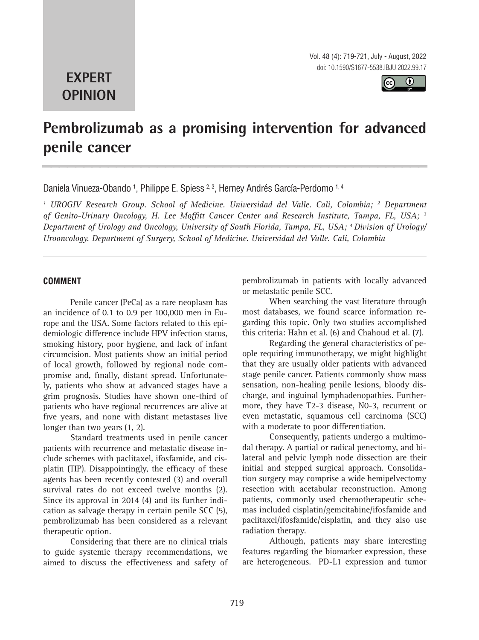Vol. 48 (4): 719-721, July - August, 2022 doi: 10.1590/S1677-5538.IBJU.2022.99.17

# **EXPERT OPINION**



# **Pembrolizumab as a promising intervention for advanced penile cancer \_\_\_\_\_\_\_\_\_\_\_\_\_\_\_\_\_\_\_\_\_\_\_\_\_\_\_\_\_\_\_\_\_\_\_\_\_\_\_\_\_\_\_\_\_\_\_**

Daniela Vinueza-Obando <sup>1</sup>, Philippe E. Spiess <sup>2, 3</sup>, Herney Andrés García-Perdomo <sup>1, 4</sup>

<sup>1</sup> UROGIV Research Group. School of Medicine. Universidad del Valle. Cali, Colombia; <sup>2</sup> Department *of Genito-Urinary Oncology, H. Lee Moffitt Cancer Center and Research Institute, Tampa, FL, USA; 3 Department of Urology and Oncology, University of South Florida, Tampa, FL, USA; 4 Division of Urology/ Urooncology. Department of Surgery, School of Medicine. Universidad del Valle. Cali, Colombia*

### **COMMENT**

Penile cancer (PeCa) as a rare neoplasm has an incidence of 0.1 to 0.9 per 100,000 men in Europe and the USA. Some factors related to this epidemiologic difference include HPV infection status, smoking history, poor hygiene, and lack of infant circumcision. Most patients show an initial period of local growth, followed by regional node compromise and, finally, distant spread. Unfortunately, patients who show at advanced stages have a grim prognosis. Studies have shown one-third of patients who have regional recurrences are alive at five years, and none with distant metastases live longer than two years (1, 2).

Standard treatments used in penile cancer patients with recurrence and metastatic disease include schemes with paclitaxel, ifosfamide, and cisplatin (TIP). Disappointingly, the efficacy of these agents has been recently contested (3) and overall survival rates do not exceed twelve months (2). Since its approval in 2014 (4) and its further indication as salvage therapy in certain penile SCC (5), pembrolizumab has been considered as a relevant therapeutic option.

Considering that there are no clinical trials to guide systemic therapy recommendations, we aimed to discuss the effectiveness and safety of pembrolizumab in patients with locally advanced or metastatic penile SCC.

When searching the vast literature through most databases, we found scarce information regarding this topic. Only two studies accomplished this criteria: Hahn et al. (6) and Chahoud et al. (7).

Regarding the general characteristics of people requiring immunotherapy, we might highlight that they are usually older patients with advanced stage penile cancer. Patients commonly show mass sensation, non-healing penile lesions, bloody discharge, and inguinal lymphadenopathies. Furthermore, they have T2-3 disease, N0-3, recurrent or even metastatic, squamous cell carcinoma (SCC) with a moderate to poor differentiation.

Consequently, patients undergo a multimodal therapy. A partial or radical penectomy, and bilateral and pelvic lymph node dissection are their initial and stepped surgical approach. Consolidation surgery may comprise a wide hemipelvectomy resection with acetabular reconstruction. Among patients, commonly used chemotherapeutic schemas included cisplatin/gemcitabine/ifosfamide and paclitaxel/ifosfamide/cisplatin, and they also use radiation therapy.

Although, patients may share interesting features regarding the biomarker expression, these are heterogeneous. PD-L1 expression and tumor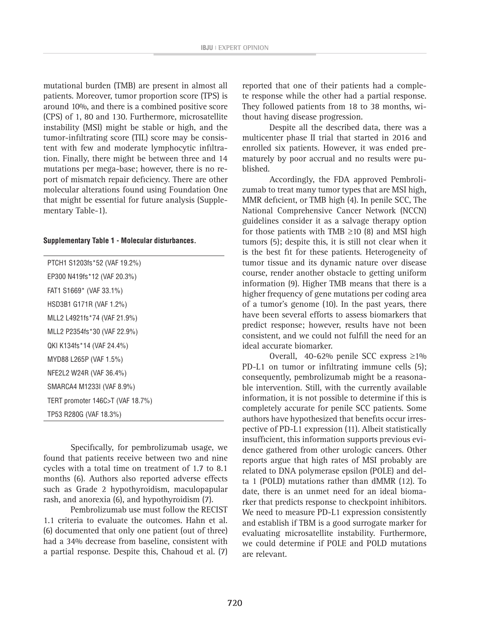mutational burden (TMB) are present in almost all patients. Moreover, tumor proportion score (TPS) is around 10%, and there is a combined positive score (CPS) of 1, 80 and 130. Furthermore, microsatellite instability (MSI) might be stable or high, and the tumor-infiltrating score (TIL) score may be consistent with few and moderate lymphocytic infiltration. Finally, there might be between three and 14 mutations per mega-base; however, there is no report of mismatch repair deficiency. There are other molecular alterations found using Foundation One that might be essential for future analysis (Supplementary Table-1).

#### **Supplementary Table 1 - Molecular disturbances.**

PTCH1 S1203fs\*52 (VAF 19.2%) EP300 N419fs\*12 (VAF 20.3%) FAT1 S1669\* (VAF 33.1%) HSD3B1 G171R (VAF 1.2%) MLL2 L4921fs\*74 (VAF 21.9%) MLL2 P2354fs\*30 (VAF 22.9%) QKI K134fs\*14 (VAF 24.4%) MYD88 L265P (VAF 1.5%) NFE2L2 W24R (VAF 36.4%) SMARCA4 M1233I (VAF 8.9%) TERT promoter 146C>T (VAF 18.7%) TP53 R280G (VAF 18.3%)

Specifically, for pembrolizumab usage, we found that patients receive between two and nine cycles with a total time on treatment of 1.7 to 8.1 months (6). Authors also reported adverse effects such as Grade 2 hypothyroidism, maculopapular rash, and anorexia (6), and hypothyroidism (7).

Pembrolizumab use must follow the RECIST 1.1 criteria to evaluate the outcomes. Hahn et al. (6) documented that only one patient (out of three) had a 34% decrease from baseline, consistent with a partial response. Despite this, Chahoud et al. (7) reported that one of their patients had a complete response while the other had a partial response. They followed patients from 18 to 38 months, without having disease progression.

Despite all the described data, there was a multicenter phase II trial that started in 2016 and enrolled six patients. However, it was ended prematurely by poor accrual and no results were published.

Accordingly, the FDA approved Pembrolizumab to treat many tumor types that are MSI high, MMR deficient, or TMB high (4). In penile SCC, The National Comprehensive Cancer Network (NCCN) guidelines consider it as a salvage therapy option for those patients with TMB  $\geq$ 10 (8) and MSI high tumors (5); despite this, it is still not clear when it is the best fit for these patients. Heterogeneity of tumor tissue and its dynamic nature over disease course, render another obstacle to getting uniform information (9). Higher TMB means that there is a higher frequency of gene mutations per coding area of a tumor's genome (10). In the past years, there have been several efforts to assess biomarkers that predict response; however, results have not been consistent, and we could not fulfill the need for an ideal accurate biomarker.

Overall, 40-62% penile SCC express ≥1% PD-L1 on tumor or infiltrating immune cells  $(5)$ ; consequently, pembrolizumab might be a reasonable intervention. Still, with the currently available information, it is not possible to determine if this is completely accurate for penile SCC patients. Some authors have hypothesized that benefits occur irrespective of PD-L1 expression (11). Albeit statistically insufficient, this information supports previous evidence gathered from other urologic cancers. Other reports argue that high rates of MSI probably are related to DNA polymerase epsilon (POLE) and delta 1 (POLD) mutations rather than dMMR (12). To date, there is an unmet need for an ideal biomarker that predicts response to checkpoint inhibitors. We need to measure PD-L1 expression consistently and establish if TBM is a good surrogate marker for evaluating microsatellite instability. Furthermore, we could determine if POLE and POLD mutations are relevant.